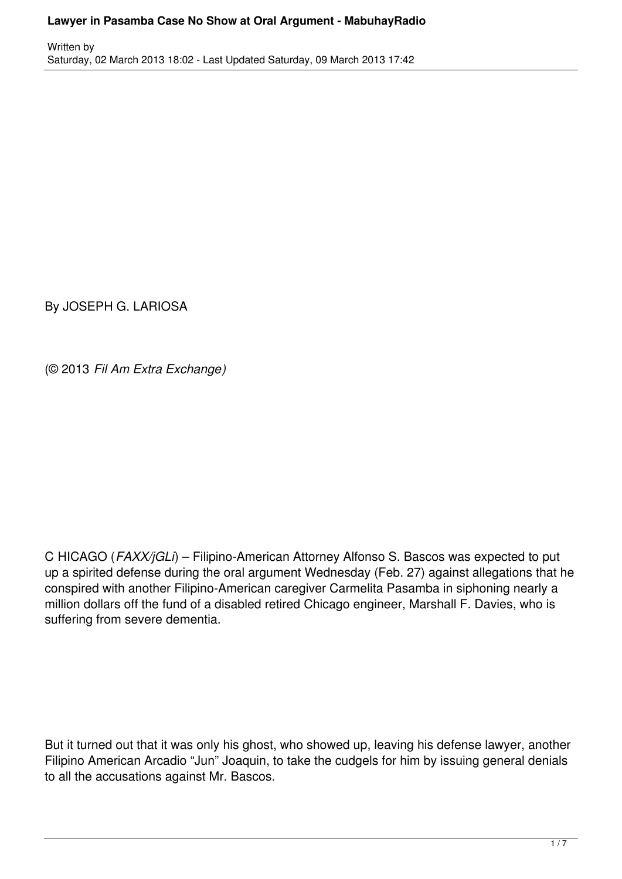### **Lawyer in Pasamba Case No Show at Oral Argument - MabuhayRadio**

By JOSEPH G. LARIOSA

(© 2013 *Fil Am Extra Exchange)*

C HICAGO (*FAXX/jGLi*) – Filipino-American Attorney Alfonso S. Bascos was expected to put up a spirited defense during the oral argument Wednesday (Feb. 27) against allegations that he conspired with another Filipino-American caregiver Carmelita Pasamba in siphoning nearly a million dollars off the fund of a disabled retired Chicago engineer, Marshall F. Davies, who is suffering from severe dementia.

But it turned out that it was only his ghost, who showed up, leaving his defense lawyer, another Filipino American Arcadio "Jun" Joaquin, to take the cudgels for him by issuing general denials to all the accusations against Mr. Bascos.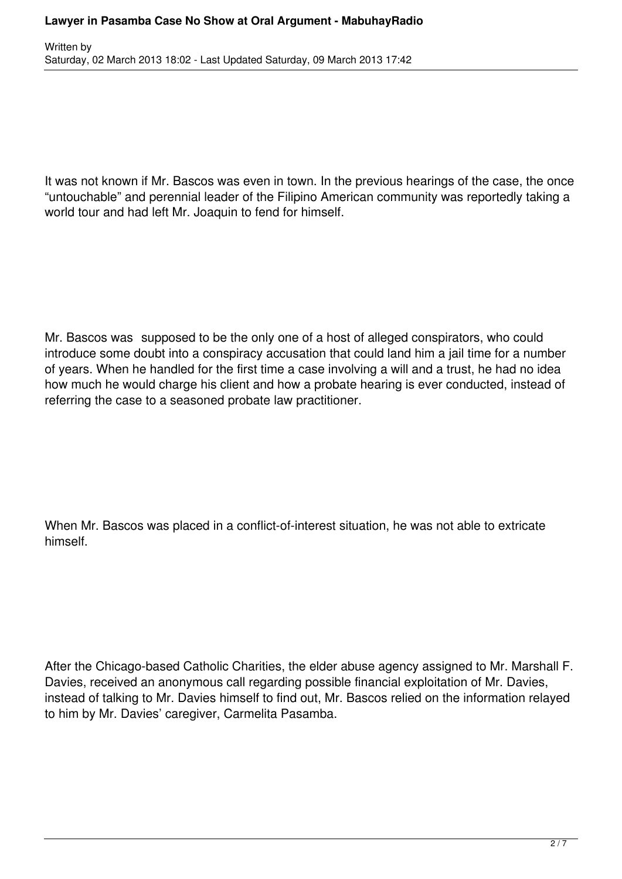It was not known if Mr. Bascos was even in town. In the previous hearings of the case, the once "untouchable" and perennial leader of the Filipino American community was reportedly taking a world tour and had left Mr. Joaquin to fend for himself.

Mr. Bascos was supposed to be the only one of a host of alleged conspirators, who could introduce some doubt into a conspiracy accusation that could land him a jail time for a number of years. When he handled for the first time a case involving a will and a trust, he had no idea how much he would charge his client and how a probate hearing is ever conducted, instead of referring the case to a seasoned probate law practitioner.

When Mr. Bascos was placed in a conflict-of-interest situation, he was not able to extricate himself.

After the Chicago-based Catholic Charities, the elder abuse agency assigned to Mr. Marshall F. Davies, received an anonymous call regarding possible financial exploitation of Mr. Davies, instead of talking to Mr. Davies himself to find out, Mr. Bascos relied on the information relayed to him by Mr. Davies' caregiver, Carmelita Pasamba.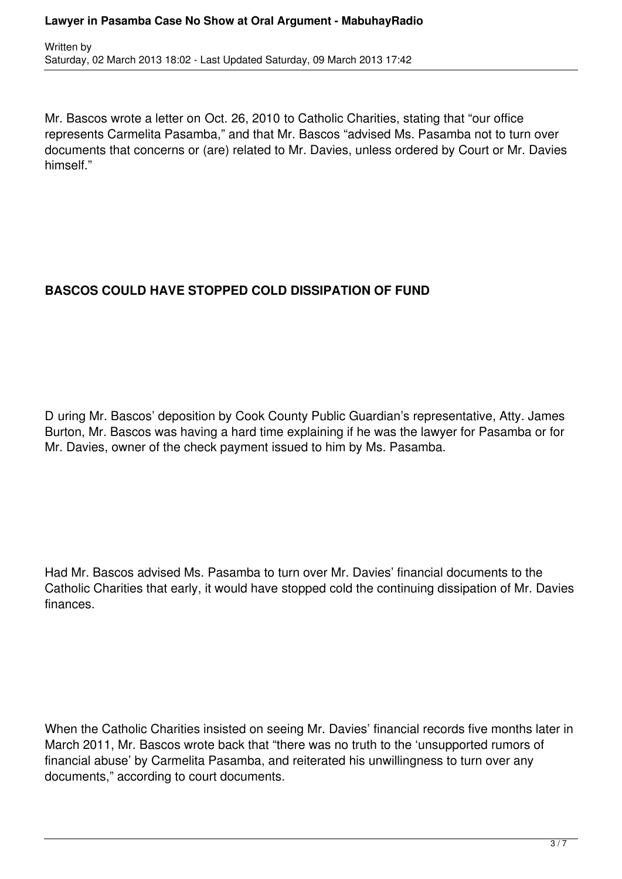Mr. Bascos wrote a letter on Oct. 26, 2010 to Catholic Charities, stating that "our office represents Carmelita Pasamba," and that Mr. Bascos "advised Ms. Pasamba not to turn over documents that concerns or (are) related to Mr. Davies, unless ordered by Court or Mr. Davies himself."

# **BASCOS COULD HAVE STOPPED COLD DISSIPATION OF FUND**

D uring Mr. Bascos' deposition by Cook County Public Guardian's representative, Atty. James Burton, Mr. Bascos was having a hard time explaining if he was the lawyer for Pasamba or for Mr. Davies, owner of the check payment issued to him by Ms. Pasamba.

Had Mr. Bascos advised Ms. Pasamba to turn over Mr. Davies' financial documents to the Catholic Charities that early, it would have stopped cold the continuing dissipation of Mr. Davies finances.

When the Catholic Charities insisted on seeing Mr. Davies' financial records five months later in March 2011, Mr. Bascos wrote back that "there was no truth to the 'unsupported rumors of financial abuse' by Carmelita Pasamba, and reiterated his unwillingness to turn over any documents," according to court documents.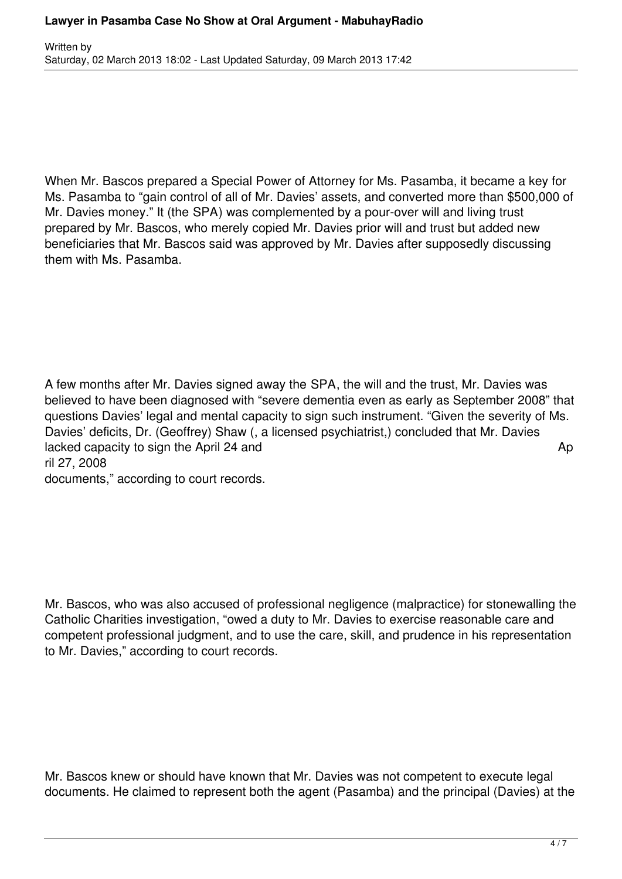When Mr. Bascos prepared a Special Power of Attorney for Ms. Pasamba, it became a key for Ms. Pasamba to "gain control of all of Mr. Davies' assets, and converted more than \$500,000 of Mr. Davies money." It (the SPA) was complemented by a pour-over will and living trust prepared by Mr. Bascos, who merely copied Mr. Davies prior will and trust but added new beneficiaries that Mr. Bascos said was approved by Mr. Davies after supposedly discussing them with Ms. Pasamba.

A few months after Mr. Davies signed away the SPA, the will and the trust, Mr. Davies was believed to have been diagnosed with "severe dementia even as early as September 2008" that questions Davies' legal and mental capacity to sign such instrument. "Given the severity of Ms. Davies' deficits, Dr. (Geoffrey) Shaw (, a licensed psychiatrist,) concluded that Mr. Davies lacked capacity to sign the April 24 and April 24 and April 24 and April 24 and April 24 and April 24 and April 24 and April 24 and April 24 and April 24 and April 24 and April 24 and April 24 and April 24 and April 24 and ril 27, 2008 documents," according to court records.

Mr. Bascos, who was also accused of professional negligence (malpractice) for stonewalling the Catholic Charities investigation, "owed a duty to Mr. Davies to exercise reasonable care and competent professional judgment, and to use the care, skill, and prudence in his representation to Mr. Davies," according to court records.

Mr. Bascos knew or should have known that Mr. Davies was not competent to execute legal documents. He claimed to represent both the agent (Pasamba) and the principal (Davies) at the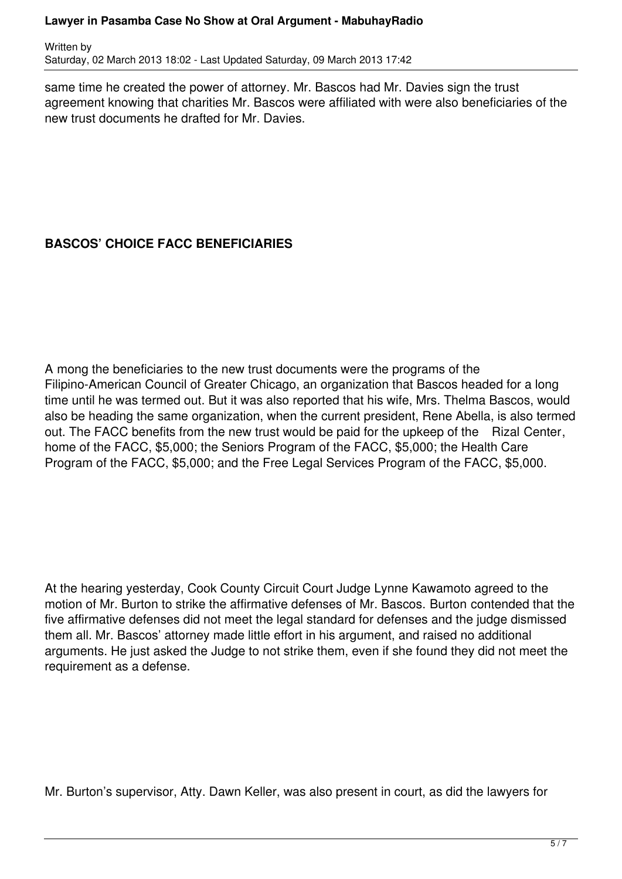#### **Lawyer in Pasamba Case No Show at Oral Argument - MabuhayRadio**

Written by Saturday, 02 March 2013 18:02 - Last Updated Saturday, 09 March 2013 17:42

same time he created the power of attorney. Mr. Bascos had Mr. Davies sign the trust agreement knowing that charities Mr. Bascos were affiliated with were also beneficiaries of the new trust documents he drafted for Mr. Davies.

## **BASCOS' CHOICE FACC BENEFICIARIES**

A mong the beneficiaries to the new trust documents were the programs of the Filipino-American Council of Greater Chicago, an organization that Bascos headed for a long time until he was termed out. But it was also reported that his wife, Mrs. Thelma Bascos, would also be heading the same organization, when the current president, Rene Abella, is also termed out. The FACC benefits from the new trust would be paid for the upkeep of the Rizal Center, home of the FACC, \$5,000; the Seniors Program of the FACC, \$5,000; the Health Care Program of the FACC, \$5,000; and the Free Legal Services Program of the FACC, \$5,000.

At the hearing yesterday, Cook County Circuit Court Judge Lynne Kawamoto agreed to the motion of Mr. Burton to strike the affirmative defenses of Mr. Bascos. Burton contended that the five affirmative defenses did not meet the legal standard for defenses and the judge dismissed them all. Mr. Bascos' attorney made little effort in his argument, and raised no additional arguments. He just asked the Judge to not strike them, even if she found they did not meet the requirement as a defense.

Mr. Burton's supervisor, Atty. Dawn Keller, was also present in court, as did the lawyers for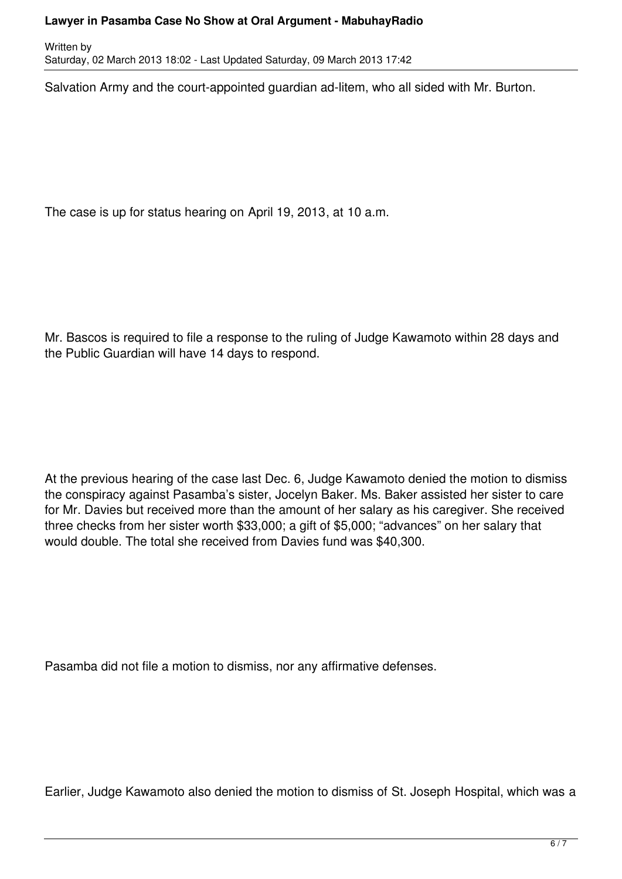#### **Lawyer in Pasamba Case No Show at Oral Argument - MabuhayRadio**

Written by Saturday, 02 March 2013 18:02 - Last Updated Saturday, 09 March 2013 17:42

Salvation Army and the court-appointed guardian ad-litem, who all sided with Mr. Burton.

The case is up for status hearing on April 19, 2013, at 10 a.m.

Mr. Bascos is required to file a response to the ruling of Judge Kawamoto within 28 days and the Public Guardian will have 14 days to respond.

At the previous hearing of the case last Dec. 6, Judge Kawamoto denied the motion to dismiss the conspiracy against Pasamba's sister, Jocelyn Baker. Ms. Baker assisted her sister to care for Mr. Davies but received more than the amount of her salary as his caregiver. She received three checks from her sister worth \$33,000; a gift of \$5,000; "advances" on her salary that would double. The total she received from Davies fund was \$40,300.

Pasamba did not file a motion to dismiss, nor any affirmative defenses.

Earlier, Judge Kawamoto also denied the motion to dismiss of St. Joseph Hospital, which was a